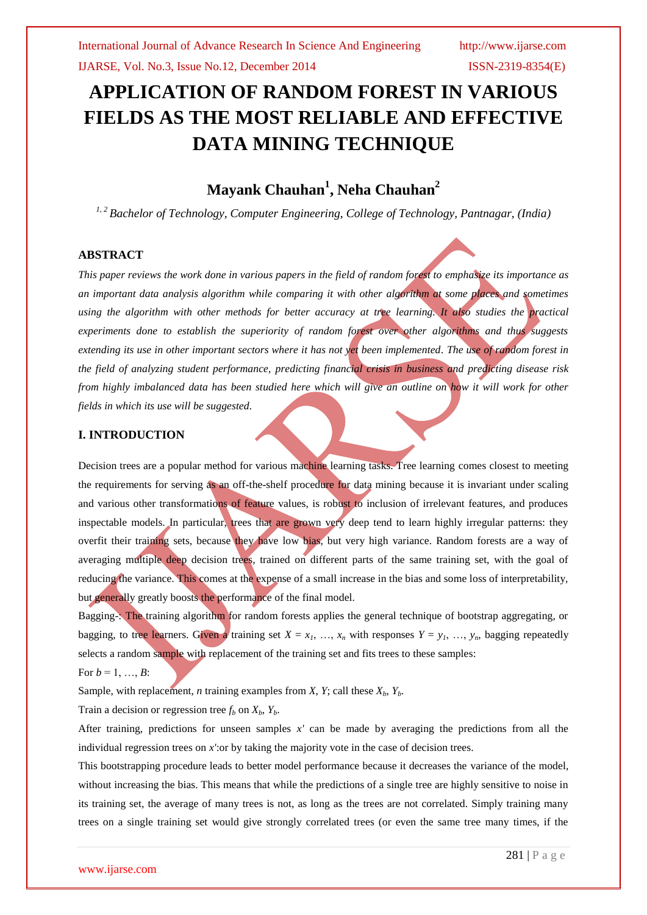# **APPLICATION OF RANDOM FOREST IN VARIOUS FIELDS AS THE MOST RELIABLE AND EFFECTIVE DATA MINING TECHNIQUE**

## **Mayank Chauhan<sup>1</sup> , Neha Chauhan<sup>2</sup>**

*1, 2 Bachelor of Technology, Computer Engineering, College of Technology, Pantnagar, (India)*

## **ABSTRACT**

*This paper reviews the work done in various papers in the field of random forest to emphasize its importance as an important data analysis algorithm while comparing it with other algorithm at some places and sometimes using the algorithm with other methods for better accuracy at tree learning. It also studies the practical experiments done to establish the superiority of random forest over other algorithms and thus suggests extending its use in other important sectors where it has not yet been implemented. The use of random forest in the field of analyzing student performance, predicting financial crisis in business and predicting disease risk from highly imbalanced data has been studied here which will give an outline on how it will work for other fields in which its use will be suggested.*

## **I. INTRODUCTION**

Decision trees are a popular method for various machine learning tasks. Tree learning comes closest to meeting the requirements for serving as an off-the-shelf procedure for data mining because it is invariant under scaling and various other transformations of feature values, is robust to inclusion of irrelevant features, and produces inspectable models. In particular, trees that are grown very deep tend to learn highly irregular patterns: they overfit their training sets, because they have low bias, but very high variance. Random forests are a way of averaging multiple deep decision trees, trained on different parts of the same training set, with the goal of reducing the variance. This comes at the expense of a small increase in the bias and some loss of interpretability, but generally greatly boosts the performance of the final model.

Bagging-: The training algorithm for random forests applies the general technique of bootstrap aggregating, or bagging, to tree learners. Given a training set  $X = x_1, \ldots, x_n$  with responses  $Y = y_1, \ldots, y_n$ , bagging repeatedly selects a random sample with replacement of the training set and fits trees to these samples: For  $b = 1, ..., B$ :

Sample, with replacement, *n* training examples from *X*, *Y*; call these  $X_b$ ,  $Y_b$ .

Train a decision or regression tree  $f_b$  on  $X_b$ ,  $Y_b$ .

After training, predictions for unseen samples *x'* can be made by averaging the predictions from all the individual regression trees on  $x'$ : or by taking the majority vote in the case of decision trees.

This bootstrapping procedure leads to better model performance because it decreases the variance of the model, without increasing the bias. This means that while the predictions of a single tree are highly sensitive to noise in its training set, the average of many trees is not, as long as the trees are not correlated. Simply training many trees on a single training set would give strongly correlated trees (or even the same tree many times, if the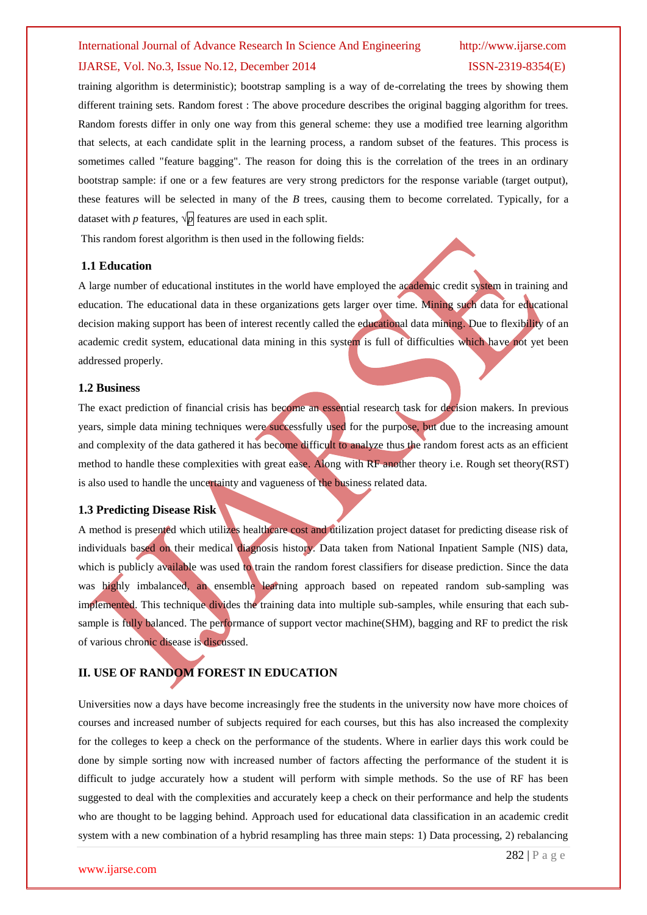### International Journal of Advance Research In Science And Engineering http://www.ijarse.com

## IJARSE, Vol. No.3, Issue No.12, December 2014 ISSN-2319-8354(E)

training algorithm is deterministic); bootstrap sampling is a way of de-correlating the trees by showing them different training sets. Random forest : The above procedure describes the original bagging algorithm for trees. Random forests differ in only one way from this general scheme: they use a modified tree learning algorithm that selects, at each candidate split in the learning process, a [random subset of the features.](http://en.wikipedia.org/wiki/Random_subspace_method) This process is sometimes called "feature bagging". The reason for doing this is the correlation of the trees in an ordinary bootstrap sample: if one or a few features are very strong predictors for the response variable (target output), these features will be selected in many of the *B* trees, causing them to become correlated. Typically, for a dataset with *p* features,  $\sqrt{p}$  features are used in each split.

This random forest algorithm is then used in the following fields:

## **1.1 Education**

A large number of educational institutes in the world have employed the academic credit system in training and education. The educational data in these organizations gets larger over time. Mining such data for educational decision making support has been of interest recently called the educational data mining. Due to flexibility of an academic credit system, educational data mining in this system is full of difficulties which have not yet been addressed properly.

## **1.2 Business**

The exact prediction of financial crisis has become an essential research task for decision makers. In previous years, simple data mining techniques were successfully used for the purpose, but due to the increasing amount and complexity of the data gathered it has become difficult to analyze thus the random forest acts as an efficient method to handle these complexities with great ease. Along with RF another theory i.e. Rough set theory(RST) is also used to handle the uncertainty and vagueness of the business related data.

## **1.3 Predicting Disease Risk**

A method is presented which utilizes healthcare cost and utilization project dataset for predicting disease risk of individuals based on their medical diagnosis history. Data taken from National Inpatient Sample (NIS) data, which is publicly available was used to train the random forest classifiers for disease prediction. Since the data was highly imbalanced, an ensemble learning approach based on repeated random sub-sampling was implemented. This technique divides the training data into multiple sub-samples, while ensuring that each subsample is fully balanced. The performance of support vector machine(SHM), bagging and RF to predict the risk of various chronic disease is discussed.

## **II. USE OF RANDOM FOREST IN EDUCATION**

Universities now a days have become increasingly free the students in the university now have more choices of courses and increased number of subjects required for each courses, but this has also increased the complexity for the colleges to keep a check on the performance of the students. Where in earlier days this work could be done by simple sorting now with increased number of factors affecting the performance of the student it is difficult to judge accurately how a student will perform with simple methods. So the use of RF has been suggested to deal with the complexities and accurately keep a check on their performance and help the students who are thought to be lagging behind. Approach used for educational data classification in an academic credit system with a new combination of a hybrid resampling has three main steps: 1) Data processing, 2) rebalancing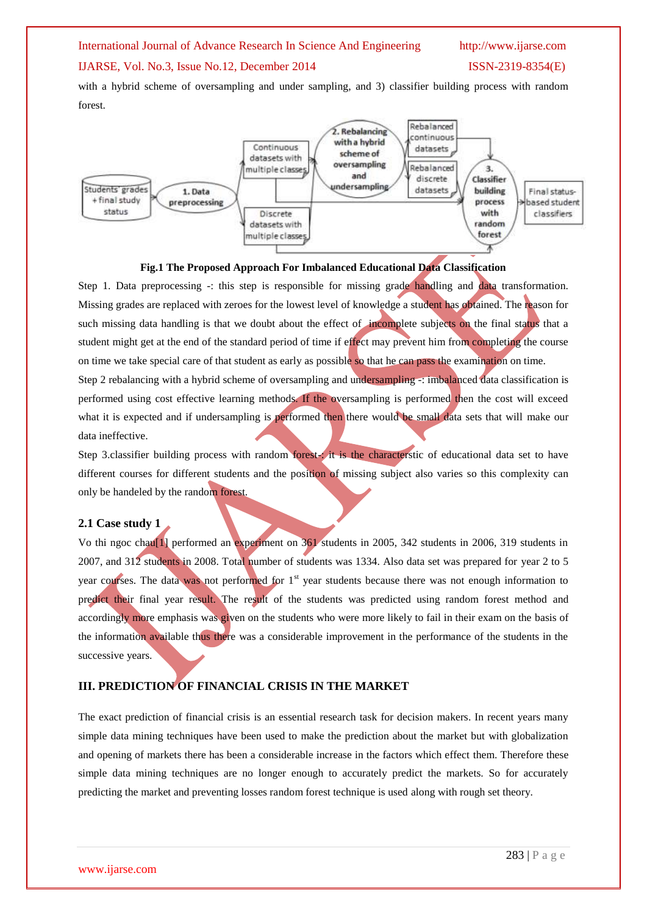## International Journal of Advance Research In Science And Engineering http://www.ijarse.com

## IJARSE, Vol. No.3, Issue No.12, December 2014 ISSN-2319-8354(E)

with a hybrid scheme of oversampling and under sampling, and 3) classifier building process with random forest.





Step 1. Data preprocessing -: this step is responsible for missing grade handling and data transformation. Missing grades are replaced with zeroes for the lowest level of knowledge a student has obtained. The reason for such missing data handling is that we doubt about the effect of incomplete subjects on the final status that a student might get at the end of the standard period of time if effect may prevent him from completing the course on time we take special care of that student as early as possible so that he can pass the examination on time. Step 2 rebalancing with a hybrid scheme of oversampling and undersampling -: imbalanced data classification is performed using cost effective learning methods. If the oversampling is performed then the cost will exceed what it is expected and if undersampling is performed then there would be small data sets that will make our data ineffective.

Step 3.classifier building process with random forest-: it is the characterstic of educational data set to have different courses for different students and the position of missing subject also varies so this complexity can only be handeled by the random forest.

## **2.1 Case study 1**

Vo thi ngoc chau[1] performed an experiment on 361 students in 2005, 342 students in 2006, 319 students in 2007, and 312 students in 2008. Total number of students was 1334. Also data set was prepared for year 2 to 5 year courses. The data was not performed for 1<sup>st</sup> year students because there was not enough information to predict their final year result. The result of the students was predicted using random forest method and accordingly more emphasis was given on the students who were more likely to fail in their exam on the basis of the information available thus there was a considerable improvement in the performance of the students in the successive years.

## **III. PREDICTION OF FINANCIAL CRISIS IN THE MARKET**

The exact prediction of financial crisis is an essential research task for decision makers. In recent years many simple data mining techniques have been used to make the prediction about the market but with globalization and opening of markets there has been a considerable increase in the factors which effect them. Therefore these simple data mining techniques are no longer enough to accurately predict the markets. So for accurately predicting the market and preventing losses random forest technique is used along with rough set theory.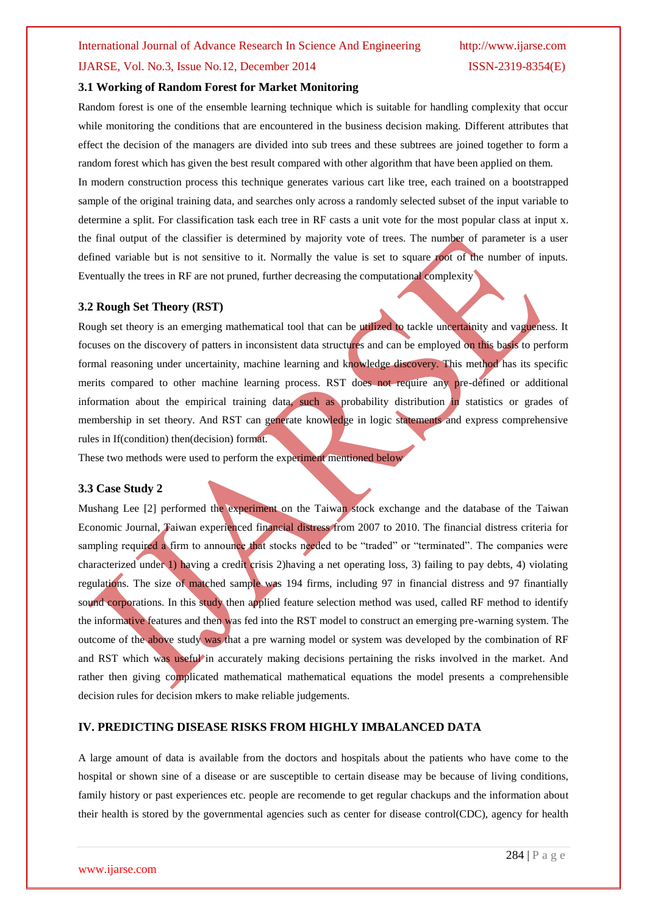## IJARSE, Vol. No.3, Issue No.12, December 2014 ISSN-2319-8354(E)

## **3.1 Working of Random Forest for Market Monitoring**

Random forest is one of the ensemble learning technique which is suitable for handling complexity that occur while monitoring the conditions that are encountered in the business decision making. Different attributes that effect the decision of the managers are divided into sub trees and these subtrees are joined together to form a random forest which has given the best result compared with other algorithm that have been applied on them. In modern construction process this technique generates various cart like tree, each trained on a bootstrapped sample of the original training data, and searches only across a randomly selected subset of the input variable to determine a split. For classification task each tree in RF casts a unit vote for the most popular class at input x. the final output of the classifier is determined by majority vote of trees. The number of parameter is a user defined variable but is not sensitive to it. Normally the value is set to square root of the number of inputs. Eventually the trees in RF are not pruned, further decreasing the computational complexity

## **3.2 Rough Set Theory (RST)**

Rough set theory is an emerging mathematical tool that can be utilized to tackle uncertainity and vagueness. It focuses on the discovery of patters in inconsistent data structures and can be employed on this basis to perform formal reasoning under uncertainity, machine learning and knowledge discovery. This method has its specific merits compared to other machine learning process. RST does not require any pre-defined or additional information about the empirical training data, such as probability distribution in statistics or grades of membership in set theory. And RST can generate knowledge in logic statements and express comprehensive rules in If(condition) then(decision) format.

These two methods were used to perform the experiment mentioned below

## **3.3 Case Study 2**

Mushang Lee [2] performed the experiment on the Taiwan stock exchange and the database of the Taiwan Economic Journal, Taiwan experienced financial distress from 2007 to 2010. The financial distress criteria for sampling required a firm to announce that stocks needed to be "traded" or "terminated". The companies were characterized under 1) having a credit crisis 2)having a net operating loss, 3) failing to pay debts, 4) violating regulations. The size of matched sample was 194 firms, including 97 in financial distress and 97 finantially sound corporations. In this study then applied feature selection method was used, called RF method to identify the informative features and then was fed into the RST model to construct an emerging pre-warning system. The outcome of the above study was that a pre warning model or system was developed by the combination of RF and RST which was useful in accurately making decisions pertaining the risks involved in the market. And rather then giving complicated mathematical mathematical equations the model presents a comprehensible decision rules for decision mkers to make reliable judgements.

## **IV. PREDICTING DISEASE RISKS FROM HIGHLY IMBALANCED DATA**

A large amount of data is available from the doctors and hospitals about the patients who have come to the hospital or shown sine of a disease or are susceptible to certain disease may be because of living conditions, family history or past experiences etc. people are recomende to get regular chackups and the information about their health is stored by the governmental agencies such as center for disease control(CDC), agency for health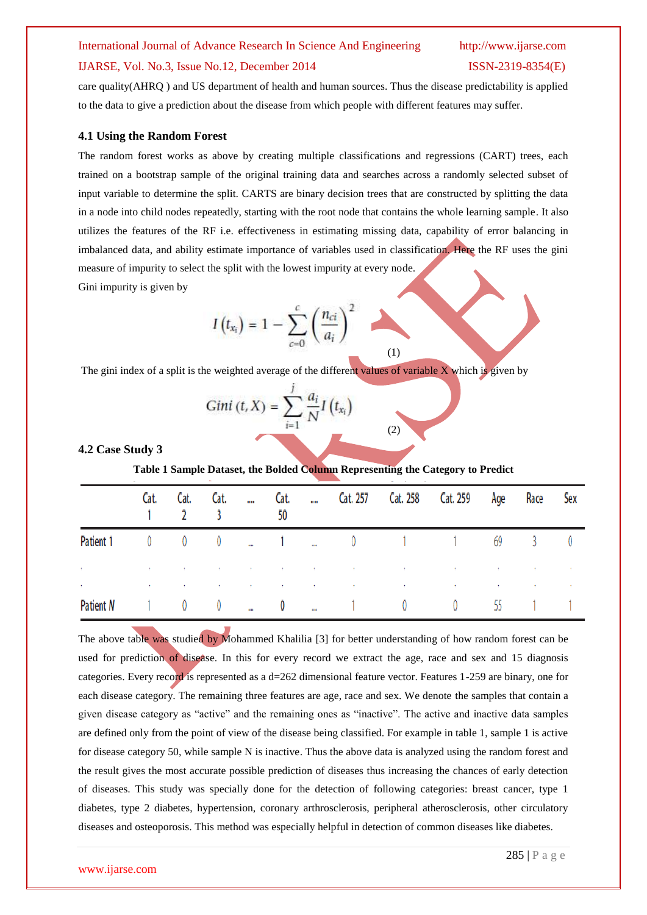## International Journal of Advance Research In Science And Engineering http://www.ijarse.com

## IJARSE, Vol. No.3, Issue No.12, December 2014 ISSN-2319-8354(E)

care quality(AHRQ ) and US department of health and human sources. Thus the disease predictability is applied to the data to give a prediction about the disease from which people with different features may suffer.

## **4.1 Using the Random Forest**

The random forest works as above by creating multiple classifications and regressions (CART) trees, each trained on a bootstrap sample of the original training data and searches across a randomly selected subset of input variable to determine the split. CARTS are binary decision trees that are constructed by splitting the data in a node into child nodes repeatedly, starting with the root node that contains the whole learning sample. It also utilizes the features of the RF i.e. effectiveness in estimating missing data, capability of error balancing in imbalanced data, and ability estimate importance of variables used in classification. Here the RF uses the gini measure of impurity to select the split with the lowest impurity at every node. Gini impurity is given by

$$
I\left(t_{x_i}\right) = 1 - \sum_{c=0}^{c} \left(\frac{n_{ci}}{a_i}\right)^2 \tag{1}
$$

The gini index of a split is the weighted average of the different values of variable X which is given by

$$
Gini (t, X) = \sum_{i=1}^{J} \frac{a_i}{N} I(t_{x_i})
$$
 (2)

**4.2 Case Study 3**

**Table 1 Sample Dataset, the Bolded Column Representing the Category to Predict**

|                        |             | Cat. Cat. Cat.                                         |                | $\mathbf{u}$             | Cat.<br>50              |          |                               |                                                                                                                                                                                                                               | Cat. 257 Cat. 258 Cat. 259 Age                                                                                                                                                                                                |    | Race                                                  | Sex |
|------------------------|-------------|--------------------------------------------------------|----------------|--------------------------|-------------------------|----------|-------------------------------|-------------------------------------------------------------------------------------------------------------------------------------------------------------------------------------------------------------------------------|-------------------------------------------------------------------------------------------------------------------------------------------------------------------------------------------------------------------------------|----|-------------------------------------------------------|-----|
| Patient 1              | $\mathbf 0$ | $\begin{array}{ccc} & & 0 & & \rightarrow \end{array}$ |                | $0 \qquad $              | $\sim$ 1 $\sim$ $\sim$  |          |                               |                                                                                                                                                                                                                               | 0 1 1 69                                                                                                                                                                                                                      |    | $\overline{3}$                                        |     |
| $\bullet$<br>$\bullet$ |             |                                                        |                |                          |                         |          |                               | the control of the control of the control of the control of the control of the control of the control of the control of the control of the control of the control of the control of the control of the control of the control | the control of the control of the control of the control of the control of the control of the control of the control of the control of the control of the control of the control of the control of the control of the control |    | the control of the control of<br>the committee of the |     |
| Patient N              |             | $\overline{0}$                                         | $\overline{0}$ | $\overline{\phantom{a}}$ | $\overline{\mathbf{0}}$ | $\cdots$ | $\overline{1}$ $\overline{0}$ |                                                                                                                                                                                                                               | $\theta$                                                                                                                                                                                                                      | 55 |                                                       |     |

The above table was studied by Mohammed Khalilia [3] for better understanding of how random forest can be used for prediction of disease. In this for every record we extract the age, race and sex and 15 diagnosis categories. Every record is represented as a d=262 dimensional feature vector. Features 1-259 are binary, one for each disease category. The remaining three features are age, race and sex. We denote the samples that contain a given disease category as "active" and the remaining ones as "inactive". The active and inactive data samples are defined only from the point of view of the disease being classified. For example in table 1, sample 1 is active for disease category 50, while sample N is inactive. Thus the above data is analyzed using the random forest and the result gives the most accurate possible prediction of diseases thus increasing the chances of early detection of diseases. This study was specially done for the detection of following categories: breast cancer, type 1 diabetes, type 2 diabetes, hypertension, coronary arthrosclerosis, peripheral atherosclerosis, other circulatory diseases and osteoporosis. This method was especially helpful in detection of common diseases like diabetes.